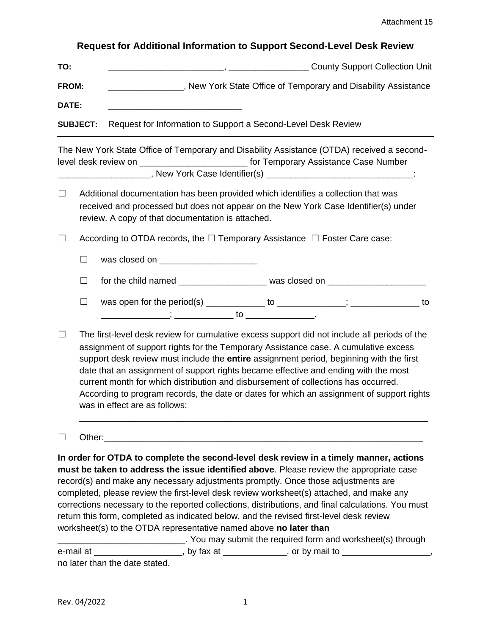## **Request for Additional Information to Support Second-Level Desk Review**

| TO:          | <b>County Support Collection Unit</b>                                         |  |  |  |  |
|--------------|-------------------------------------------------------------------------------|--|--|--|--|
| <b>FROM:</b> | New York State Office of Temporary and Disability Assistance                  |  |  |  |  |
| <b>DATE:</b> |                                                                               |  |  |  |  |
|              | <b>SUBJECT:</b> Request for Information to Support a Second-Level Desk Review |  |  |  |  |

The New York State Office of Temporary and Disability Assistance (OTDA) received a secondlevel desk review on \_\_\_\_\_\_\_\_\_\_\_\_\_\_\_\_\_\_\_\_\_\_\_\_\_\_\_\_\_\_\_ for Temporary Assistance Case Number \_\_\_\_\_\_\_\_\_\_\_\_\_\_\_\_\_\_\_\_\_, New York Case Identifier(s) \_\_\_\_\_\_\_\_\_\_\_\_\_\_\_\_\_\_\_\_\_\_\_\_\_\_\_\_\_\_\_\_\_\_:

- ☐ Additional documentation has been provided which identifies a collection that was received and processed but does not appear on the New York Case Identifier(s) under review. A copy of that documentation is attached.
- ☐ According to OTDA records, the ☐ Temporary Assistance ☐ Foster Care case:

 $\Box$  was closed on  $\Box$ ☐ for the child named \_\_\_\_\_\_\_\_\_\_\_\_\_\_\_\_\_\_ was closed on \_\_\_\_\_\_\_\_\_\_\_\_\_\_\_\_\_\_\_\_

- ☐ was open for the period(s) \_\_\_\_\_\_\_\_\_\_\_\_ to \_\_\_\_\_\_\_\_\_\_\_\_\_\_; \_\_\_\_\_\_\_\_\_\_\_\_\_\_ to \_\_\_\_\_\_\_\_\_\_\_\_\_\_; \_\_\_\_\_\_\_\_\_\_\_\_ to \_\_\_\_\_\_\_\_\_\_\_\_\_\_.
- $\Box$  The first-level desk review for cumulative excess support did not include all periods of the assignment of support rights for the Temporary Assistance case. A cumulative excess support desk review must include the **entire** assignment period, beginning with the first date that an assignment of support rights became effective and ending with the most current month for which distribution and disbursement of collections has occurred. According to program records, the date or dates for which an assignment of support rights was in effect are as follows:

\_\_\_\_\_\_\_\_\_\_\_\_\_\_\_\_\_\_\_\_\_\_\_\_\_\_\_\_\_\_\_\_\_\_\_\_\_\_\_\_\_\_\_\_\_\_\_\_\_\_\_\_\_\_\_\_\_\_\_\_\_\_\_\_\_\_\_\_\_\_\_

## ☐ Other:\_\_\_\_\_\_\_\_\_\_\_\_\_\_\_\_\_\_\_\_\_\_\_\_\_\_\_\_\_\_\_\_\_\_\_\_\_\_\_\_\_\_\_\_\_\_\_\_\_\_\_\_\_\_\_\_\_\_\_\_\_\_\_\_\_

**In order for OTDA to complete the second-level desk review in a timely manner, actions must be taken to address the issue identified above**. Please review the appropriate case record(s) and make any necessary adjustments promptly. Once those adjustments are completed, please review the first-level desk review worksheet(s) attached, and make any corrections necessary to the reported collections, distributions, and final calculations. You must return this form, completed as indicated below, and the revised first-level desk review worksheet(s) to the OTDA representative named above **no later than**

**with the required form and worksheet(s) through** in the submit the required form and worksheet(s) through e-mail at \_\_\_\_\_\_\_\_\_\_\_\_\_\_\_\_\_\_\_\_, by fax at \_\_\_\_\_\_\_\_\_\_\_\_\_, or by mail to \_\_\_\_\_\_\_\_\_\_\_\_\_\_\_\_\_, no later than the date stated.